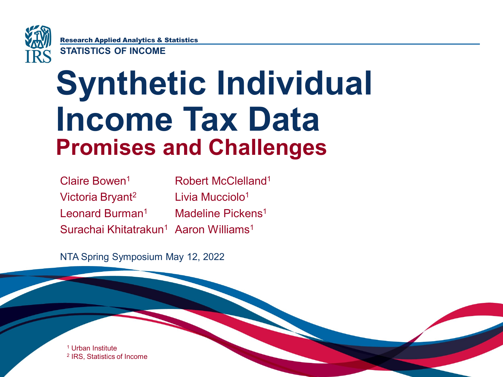

Research Applied Analytics & Statistics

**STATISTICS OF INCOME**

## **Synthetic Individual Income Tax Data Promises and Challenges**

Claire Bowen1 Victoria Bryant2 Leonard Burman<sup>1</sup> Surachai Khitatrakun $^1$  Aaron Williams $^1$ Robert McClelland1 Livia Mucciolo1 Madeline Pickens<sup>1</sup>

NTA Spring Symposium May 12, 2022

<sup>1</sup> Urban Institute <sup>2</sup> IRS, Statistics of Income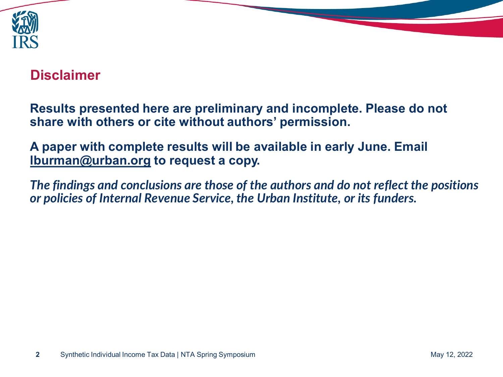

## **Disclaimer**

**Results presented here are preliminary and incomplete. Please do not share with others or cite without authors' permission.** 

**A paper with complete results will be available in early June. Email [lburman@urban.org](mailto:lburman@urban.org) to request a copy.**

*The findings and conclusions are those of the authors and do not reflect the positions or policies of Internal Revenue Service, the Urban Institute, or its funders.*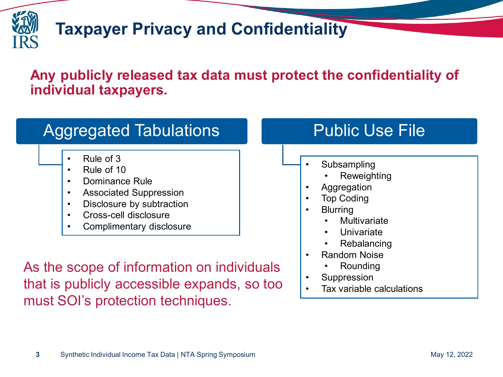

## **Taxpayer Privacy and Confidentiality**

### **Any publicly released tax data must protect the confidentiality of individual taxpayers.**

## Aggregated Tabulations

- $\cdot$  Rule of 3 • Rule of 3  $\Box$  • Substitution in the substitution of 3  $\Box$  • Substitution in the substitution of  $\Box$  • Substitution in the substitution of  $\Box$  • Substitution in the substitution of  $\Box$  • Substitution in the substitu
- Rule of 10
- Dominance Rule
- Associated Suppression
- Disclosure by subtraction
- Cross-cell disclosure
- Complimentary disclosure

As the scope of information on individuals that is publicly accessible expands, so too must SOI's protection techniques.

## Public Use File

- **Subsampling** 
	- **Reweighting**
- **Aggregation**
- **Top Coding**
- **Blurring** 
	- **Multivariate**
	- **Univariate**
	- **Rebalancing**
- Random Noise
	- Rounding
- **Suppression**
- Tax variable calculations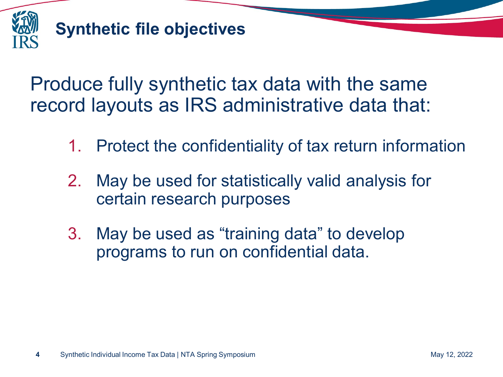

## **Synthetic file objectives**

Produce fully synthetic tax data with the same record layouts as IRS administrative data that:

- 1. Protect the confidentiality of tax return information
- 2. May be used for statistically valid analysis for certain research purposes
- 3. May be used as "training data" to develop programs to run on confidential data.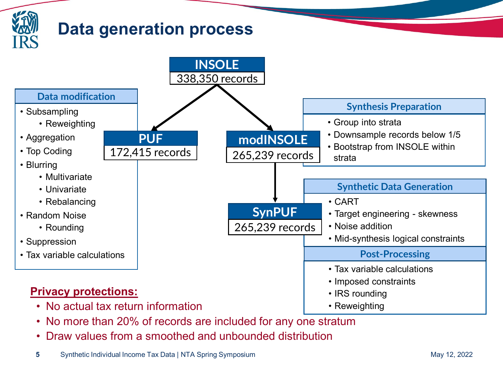

- No more than 20% of records are included for any one stratum
- Draw values from a smoothed and unbounded distribution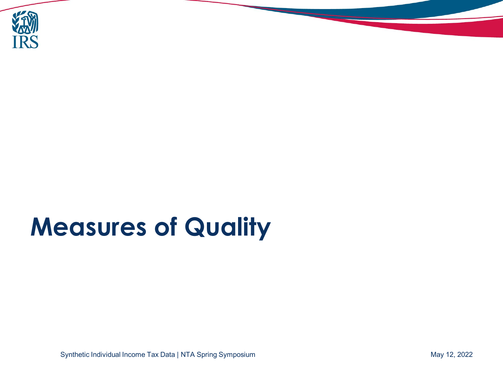

# **Measures of Quality**

Synthetic Individual Income Tax Data | NTA Spring Symposium May 12, 2022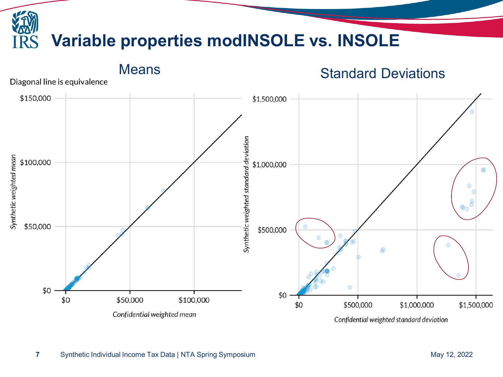

Confidential weighted standard deviation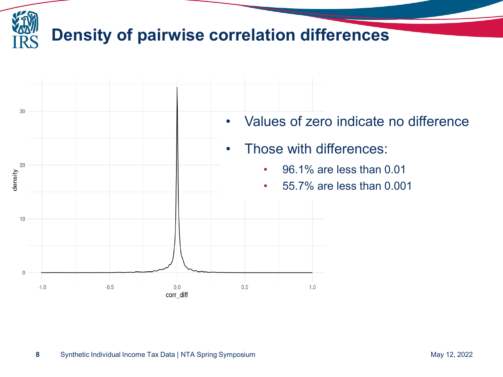

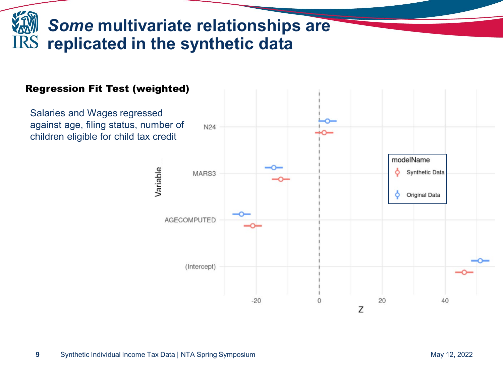## *Some* **multivariate relationships are replicated in the synthetic data**

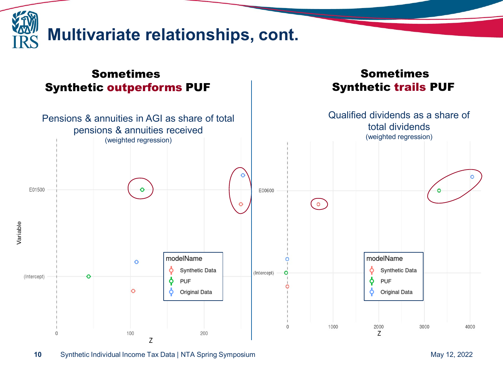

#### Sometimes Synthetic outperforms PUF

#### Sometimes Synthetic trails PUF



**10** Synthetic Individual Income Tax Data | NTA Spring Symposium May 12, 2022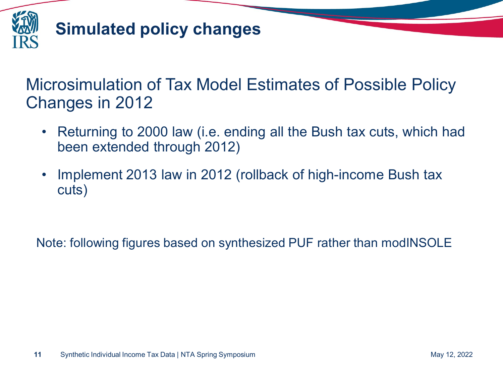

## **Simulated policy changes**

## Microsimulation of Tax Model Estimates of Possible Policy Changes in 2012

- Returning to 2000 law (i.e. ending all the Bush tax cuts, which had been extended through 2012)
- Implement 2013 law in 2012 (rollback of high-income Bush tax cuts)

Note: following figures based on synthesized PUF rather than modINSOLE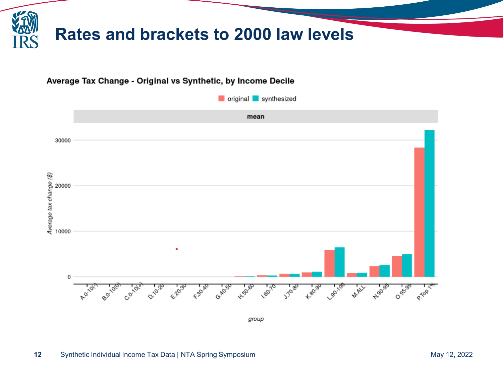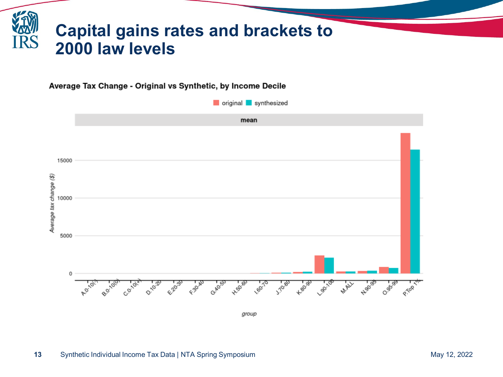

Average Tax Change - Original vs Synthetic, by Income Decile

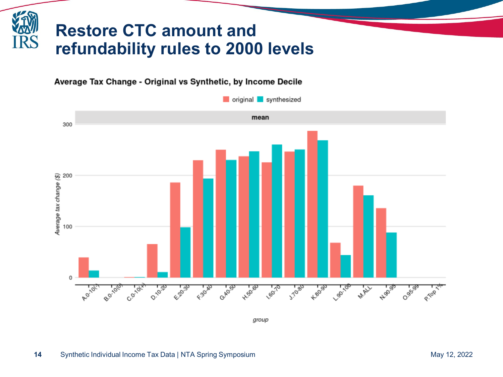## **Restore CTC amount and refundability rules to 2000 levels**

#### Average Tax Change - Original vs Synthetic, by Income Decile



group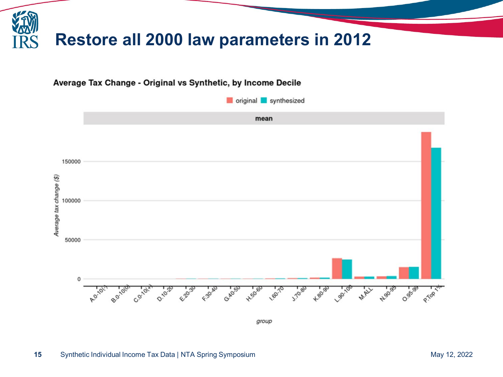



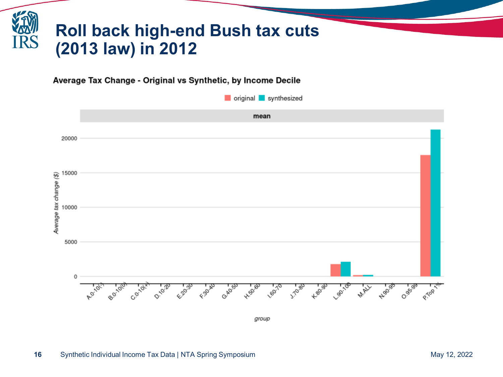## **Roll back high-end Bush tax cuts (2013 law) in 2012**

Average Tax Change - Original vs Synthetic, by Income Decile

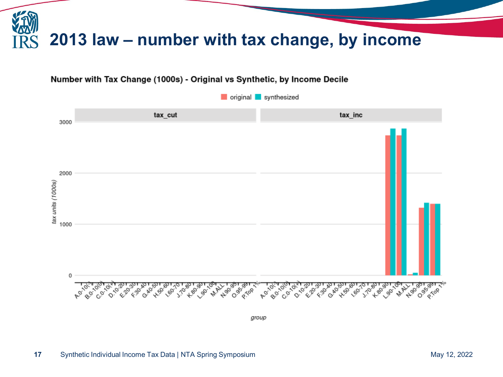

#### Number with Tax Change (1000s) - Original vs Synthetic, by Income Decile



group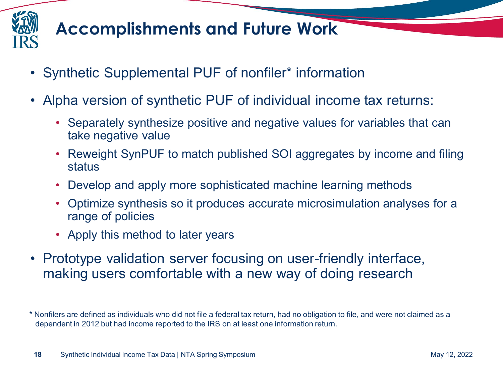

## **Accomplishments and Future Work**

- Synthetic Supplemental PUF of nonfiler\* information
- Alpha version of synthetic PUF of individual income tax returns:
	- Separately synthesize positive and negative values for variables that can take negative value
	- Reweight SynPUF to match published SOI aggregates by income and filing status
	- Develop and apply more sophisticated machine learning methods
	- Optimize synthesis so it produces accurate microsimulation analyses for a range of policies
	- Apply this method to later years
- Prototype validation server focusing on user-friendly interface, making users comfortable with a new way of doing research

<sup>\*</sup> Nonfilers are defined as individuals who did not file a federal tax return, had no obligation to file, and were not claimed as a dependent in 2012 but had income reported to the IRS on at least one information return.